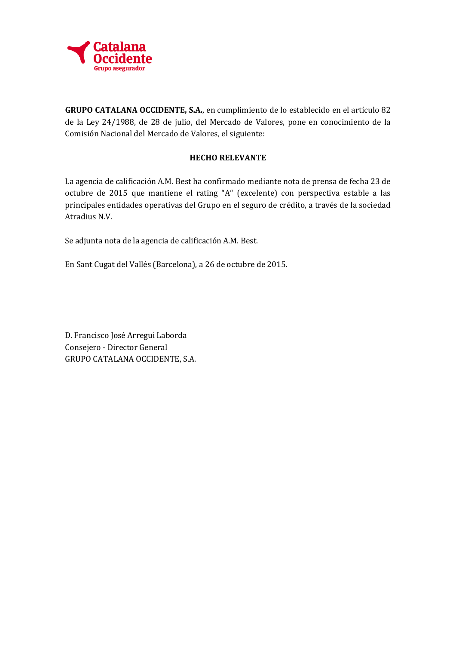

**GRUPO CATALANA OCCIDENTE, S.A.**, en cumplimiento de lo establecido en el artículo 82 de la Ley 24/1988, de 28 de julio, del Mercado de Valores, pone en conocimiento de la Comisión Nacional del Mercado de Valores, el siguiente:

### **HECHO RELEVANTE**

La agencia de calificación A.M. Best ha confirmado mediante nota de prensa de fecha 23 de octubre de 2015 que mantiene el rating "A" (excelente) con perspectiva estable a las principales entidades operativas del Grupo en el seguro de crédito, a través de la sociedad Atradius N.V.

Se adjunta nota de la agencia de calificación A.M. Best.

En Sant Cugat del Vallés (Barcelona), a 26 de octubre de 2015.

D. Francisco José Arregui Laborda Consejero - Director General GRUPO CATALANA OCCIDENTE, S.A.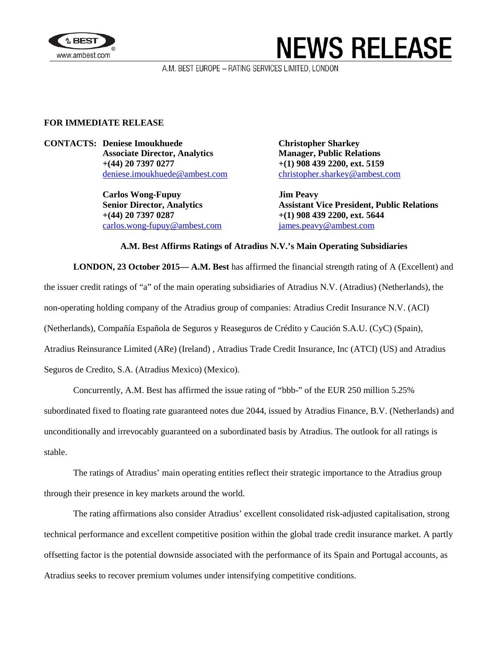

# **NEWS RELEASE**

A.M. BEST EUROPE - RATING SERVICES LIMITED, LONDON

### **FOR IMMEDIATE RELEASE**

**CONTACTS: Deniese Imoukhuede Christopher Sharkey Associate Director, Analytics Manager, Public Relations +(44) 20 7397 0277 +(1) 908 439 2200, ext. 5159**

> **Carlos Wong-Fupuy Jim Peavy +(44) 20 7397 0287 +(1) 908 439 2200, ext. 5644** [carlos.wong-fupuy@ambest.com](mailto:carlos.wong-fupuy@ambest.com) [james.peavy@ambest.com](mailto:james.peavy@ambest.com)

[deniese.imoukhuede@ambest.com](mailto:deniese.imoukhuede@ambest.com) [christopher.sharkey@ambest.com](mailto:christopher.sharkey@ambest.com)

**Senior Director, Analytics Assistant Vice President, Public Relations**

#### **A.M. Best Affirms Ratings of Atradius N.V.'s Main Operating Subsidiaries**

**LONDON, 23 October 2015— A.M. Best** has affirmed the financial strength rating of A (Excellent) and

the issuer credit ratings of "a" of the main operating subsidiaries of Atradius N.V. (Atradius) (Netherlands), the

non-operating holding company of the Atradius group of companies: Atradius Credit Insurance N.V. (ACI)

(Netherlands), Compañía Española de Seguros y Reaseguros de Crédito y Caución S.A.U. (CyC) (Spain),

Atradius Reinsurance Limited (ARe) (Ireland) , Atradius Trade Credit Insurance, Inc (ATCI) (US) and Atradius

Seguros de Credito, S.A. (Atradius Mexico) (Mexico).

Concurrently, A.M. Best has affirmed the issue rating of "bbb-" of the EUR 250 million 5.25%

subordinated fixed to floating rate guaranteed notes due 2044, issued by Atradius Finance, B.V. (Netherlands) and

unconditionally and irrevocably guaranteed on a subordinated basis by Atradius. The outlook for all ratings is stable.

The ratings of Atradius' main operating entities reflect their strategic importance to the Atradius group through their presence in key markets around the world.

The rating affirmations also consider Atradius' excellent consolidated risk-adjusted capitalisation, strong technical performance and excellent competitive position within the global trade credit insurance market. A partly offsetting factor is the potential downside associated with the performance of its Spain and Portugal accounts, as Atradius seeks to recover premium volumes under intensifying competitive conditions.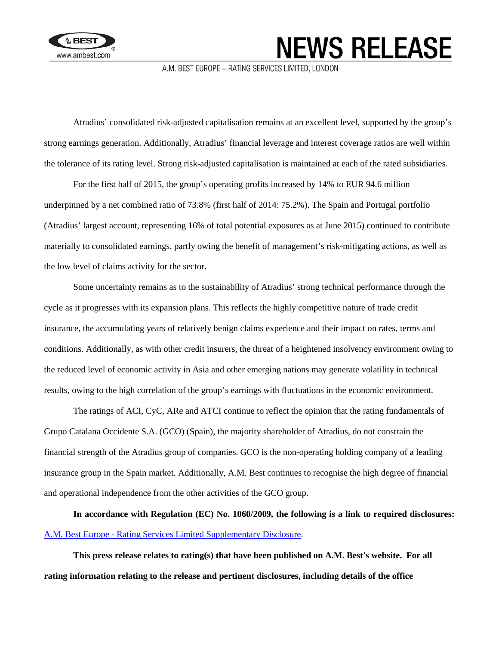

## **NEWS RELEASE**

A.M. BEST EUROPE - RATING SERVICES LIMITED, LONDON

Atradius' consolidated risk-adjusted capitalisation remains at an excellent level, supported by the group's strong earnings generation. Additionally, Atradius' financial leverage and interest coverage ratios are well within the tolerance of its rating level. Strong risk-adjusted capitalisation is maintained at each of the rated subsidiaries.

For the first half of 2015, the group's operating profits increased by 14% to EUR 94.6 million underpinned by a net combined ratio of 73.8% (first half of 2014: 75.2%). The Spain and Portugal portfolio (Atradius' largest account, representing 16% of total potential exposures as at June 2015) continued to contribute materially to consolidated earnings, partly owing the benefit of management's risk-mitigating actions, as well as the low level of claims activity for the sector.

Some uncertainty remains as to the sustainability of Atradius' strong technical performance through the cycle as it progresses with its expansion plans. This reflects the highly competitive nature of trade credit insurance, the accumulating years of relatively benign claims experience and their impact on rates, terms and conditions. Additionally, as with other credit insurers, the threat of a heightened insolvency environment owing to the reduced level of economic activity in Asia and other emerging nations may generate volatility in technical results, owing to the high correlation of the group's earnings with fluctuations in the economic environment.

The ratings of ACI, CyC, ARe and ATCI continue to reflect the opinion that the rating fundamentals of Grupo Catalana Occidente S.A. (GCO) (Spain), the majority shareholder of Atradius, do not constrain the financial strength of the Atradius group of companies. GCO is the non-operating holding company of a leading insurance group in the Spain market. Additionally, A.M. Best continues to recognise the high degree of financial and operational independence from the other activities of the GCO group.

**In accordance with Regulation (EC) No. 1060/2009, the following is a link to required disclosures:** A.M. Best Europe - [Rating Services Limited Supplementary Disclosure.](http://www3.ambest.com/emea/ambersdisclosure.pdf)

**This press release relates to rating(s) that have been published on A.M. Best's website. For all rating information relating to the release and pertinent disclosures, including details of the office**